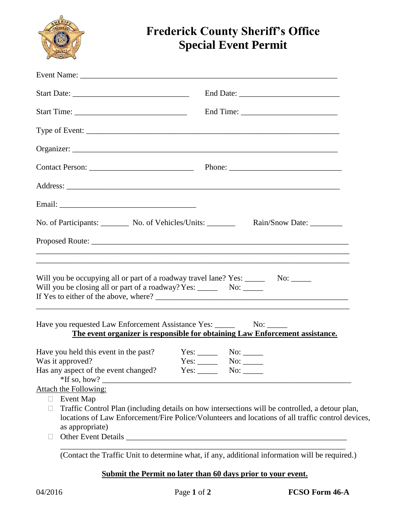

# **Frederick County Sheriff's Office Special Event Permit**

| No. of Participants: No. of Vehicles/Units: _______                                                                                                                       | Rain/Snow Date: _________                                                                                                                                                                            |
|---------------------------------------------------------------------------------------------------------------------------------------------------------------------------|------------------------------------------------------------------------------------------------------------------------------------------------------------------------------------------------------|
|                                                                                                                                                                           |                                                                                                                                                                                                      |
|                                                                                                                                                                           | ,我们也不能在这里的时候,我们也不能在这里的时候,我们也不能会在这里的时候,我们也不能会在这里的时候,我们也不能会在这里的时候,我们也不能会在这里的时候,我们也不                                                                                                                    |
| Will you be occupying all or part of a roadway travel lane? Yes: ________ No: ______<br>Will you be closing all or part of a roadway? Yes: ______________________________ |                                                                                                                                                                                                      |
| Have you requested Law Enforcement Assistance Yes: ______________________________                                                                                         | The event organizer is responsible for obtaining Law Enforcement assistance.                                                                                                                         |
| Have you held this event in the past?                                                                                                                                     | $Yes:$ No: $\_\_$                                                                                                                                                                                    |
| Was it approved?<br>Has any aspect of the event changed? Yes: No: No:                                                                                                     | $Yes:$ No: $\_\_$                                                                                                                                                                                    |
| Attach the Following:                                                                                                                                                     |                                                                                                                                                                                                      |
| <b>Event Map</b><br>$\Box$<br>as appropriate)                                                                                                                             | Traffic Control Plan (including details on how intersections will be controlled, a detour plan,<br>locations of Law Enforcement/Fire Police/Volunteers and locations of all traffic control devices, |
|                                                                                                                                                                           |                                                                                                                                                                                                      |
|                                                                                                                                                                           | (Contact the Traffic Unit to determine what, if any, additional information will be required.)                                                                                                       |

## **Submit the Permit no later than 60 days prior to your event.**